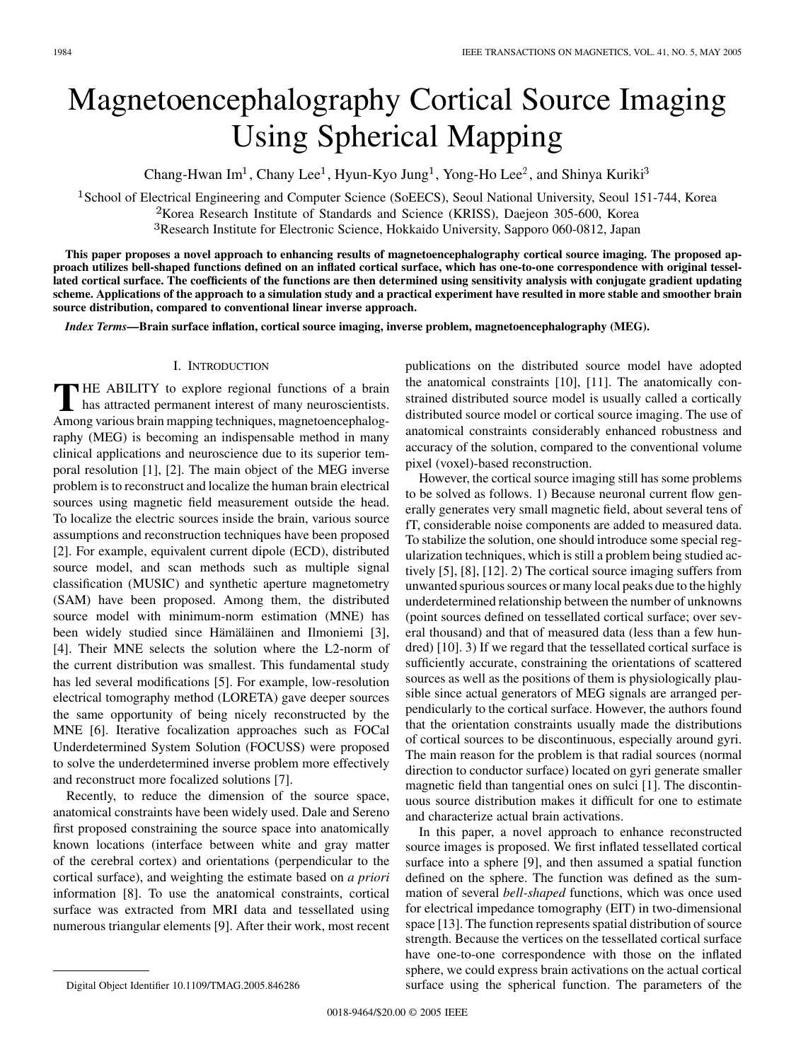# Magnetoencephalography Cortical Source Imaging Using Spherical Mapping

Chang-Hwan Im<sup>1</sup>, Chany Lee<sup>1</sup>, Hyun-Kyo Jung<sup>1</sup>, Yong-Ho Lee<sup>2</sup>, and Shinya Kuriki<sup>3</sup>

<sup>1</sup> School of Electrical Engineering and Computer Science (SoEECS), Seoul National University, Seoul 151-744, Korea  $2$ Korea Research Institute of Standards and Science (KRISS), Daejeon 305-600, Korea

<sup>3</sup>Research Institute for Electronic Science, Hokkaido University, Sapporo 060-0812, Japan

**This paper proposes a novel approach to enhancing results of magnetoencephalography cortical source imaging. The proposed approach utilizes bell-shaped functions defined on an inflated cortical surface, which has one-to-one correspondence with original tessellated cortical surface. The coefficients of the functions are then determined using sensitivity analysis with conjugate gradient updating scheme. Applications of the approach to a simulation study and a practical experiment have resulted in more stable and smoother brain source distribution, compared to conventional linear inverse approach.**

*Index Terms—***Brain surface inflation, cortical source imaging, inverse problem, magnetoencephalography (MEG).**

## I. INTRODUCTION

**T** HE ABILITY to explore regional functions of a brain has attracted permanent interest of many neuroscientists. Among various brain mapping techniques, magnetoencephalography (MEG) is becoming an indispensable method in many clinical applications and neuroscience due to its superior temporal resolution [[1\]](#page-3-0), [[2\]](#page-3-0). The main object of the MEG inverse problem is to reconstruct and localize the human brain electrical sources using magnetic field measurement outside the head. To localize the electric sources inside the brain, various source assumptions and reconstruction techniques have been proposed [[2\]](#page-3-0). For example, equivalent current dipole (ECD), distributed source model, and scan methods such as multiple signal classification (MUSIC) and synthetic aperture magnetometry (SAM) have been proposed. Among them, the distributed source model with minimum-norm estimation (MNE) has been widely studied since Hämäläinen and Ilmoniemi [[3\]](#page-3-0), [[4\]](#page-3-0). Their MNE selects the solution where the L2-norm of the current distribution was smallest. This fundamental study has led several modifications [[5\]](#page-3-0). For example, low-resolution electrical tomography method (LORETA) gave deeper sources the same opportunity of being nicely reconstructed by the MNE [\[6](#page-3-0)]. Iterative focalization approaches such as FOCal Underdetermined System Solution (FOCUSS) were proposed to solve the underdetermined inverse problem more effectively and reconstruct more focalized solutions [[7\]](#page-3-0).

Recently, to reduce the dimension of the source space, anatomical constraints have been widely used. Dale and Sereno first proposed constraining the source space into anatomically known locations (interface between white and gray matter of the cerebral cortex) and orientations (perpendicular to the cortical surface), and weighting the estimate based on *a priori* information [[8\]](#page-3-0). To use the anatomical constraints, cortical surface was extracted from MRI data and tessellated using numerous triangular elements [[9\]](#page-3-0). After their work, most recent publications on the distributed source model have adopted the anatomical constraints [\[10](#page-3-0)], [[11\]](#page-3-0). The anatomically constrained distributed source model is usually called a cortically distributed source model or cortical source imaging. The use of anatomical constraints considerably enhanced robustness and accuracy of the solution, compared to the conventional volume pixel (voxel)-based reconstruction.

However, the cortical source imaging still has some problems to be solved as follows. 1) Because neuronal current flow generally generates very small magnetic field, about several tens of fT, considerable noise components are added to measured data. To stabilize the solution, one should introduce some special regularization techniques, which is still a problem being studied actively [[5\]](#page-3-0), [[8\]](#page-3-0), [\[12](#page-3-0)]. 2) The cortical source imaging suffers from unwanted spurious sources or many local peaks due to the highly underdetermined relationship between the number of unknowns (point sources defined on tessellated cortical surface; over several thousand) and that of measured data (less than a few hundred) [\[10](#page-3-0)]. 3) If we regard that the tessellated cortical surface is sufficiently accurate, constraining the orientations of scattered sources as well as the positions of them is physiologically plausible since actual generators of MEG signals are arranged perpendicularly to the cortical surface. However, the authors found that the orientation constraints usually made the distributions of cortical sources to be discontinuous, especially around gyri. The main reason for the problem is that radial sources (normal direction to conductor surface) located on gyri generate smaller magnetic field than tangential ones on sulci [\[1](#page-3-0)]. The discontinuous source distribution makes it difficult for one to estimate and characterize actual brain activations.

In this paper, a novel approach to enhance reconstructed source images is proposed. We first inflated tessellated cortical surface into a sphere [[9\]](#page-3-0), and then assumed a spatial function defined on the sphere. The function was defined as the summation of several *bell-shaped* functions, which was once used for electrical impedance tomography (EIT) in two-dimensional space [[13\]](#page-3-0). The function represents spatial distribution of source strength. Because the vertices on the tessellated cortical surface have one-to-one correspondence with those on the inflated sphere, we could express brain activations on the actual cortical surface using the spherical function. The parameters of the

Digital Object Identifier 10.1109/TMAG.2005.846286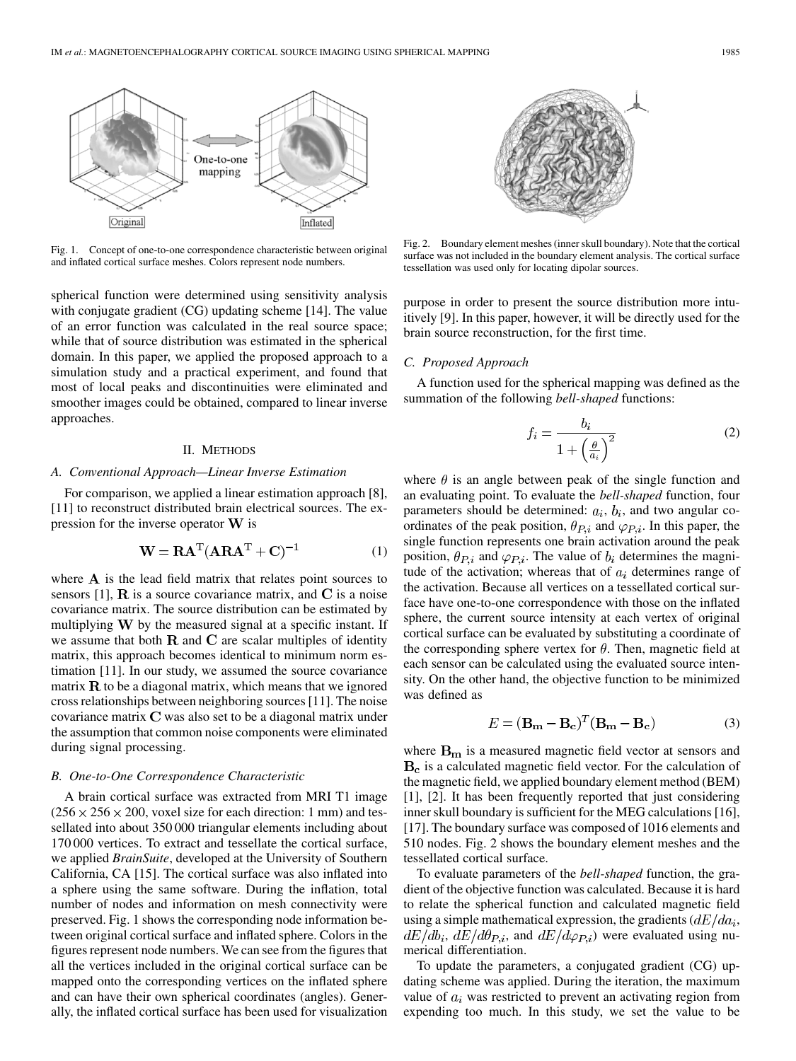

Fig. 1. Concept of one-to-one correspondence characteristic between original and inflated cortical surface meshes. Colors represent node numbers.

spherical function were determined using sensitivity analysis with conjugate gradient (CG) updating scheme [\[14](#page-3-0)]. The value of an error function was calculated in the real source space; while that of source distribution was estimated in the spherical domain. In this paper, we applied the proposed approach to a simulation study and a practical experiment, and found that most of local peaks and discontinuities were eliminated and smoother images could be obtained, compared to linear inverse approaches.

## II. METHODS

## *A. Conventional Approach—Linear Inverse Estimation*

For comparison, we applied a linear estimation approach [\[8](#page-3-0)], [\[11](#page-3-0)] to reconstruct distributed brain electrical sources. The expression for the inverse operator  $W$  is

$$
\mathbf{W} = \mathbf{R}\mathbf{A}^{\mathrm{T}}(\mathbf{A}\mathbf{R}\mathbf{A}^{\mathrm{T}} + \mathbf{C})^{-1}
$$
 (1)

where  $\bf{A}$  is the lead field matrix that relates point sources to sensors [[1\]](#page-3-0),  $\bf{R}$  is a source covariance matrix, and  $\bf{C}$  is a noise covariance matrix. The source distribution can be estimated by multiplying  $W$  by the measured signal at a specific instant. If we assume that both  $R$  and  $C$  are scalar multiples of identity matrix, this approach becomes identical to minimum norm estimation [[11\]](#page-3-0). In our study, we assumed the source covariance matrix  $\bf{R}$  to be a diagonal matrix, which means that we ignored cross relationships between neighboring sources [\[11](#page-3-0)]. The noise covariance matrix  **was also set to be a diagonal matrix under** the assumption that common noise components were eliminated during signal processing.

#### *B. One-to-One Correspondence Characteristic*

A brain cortical surface was extracted from MRI T1 image  $(256 \times 256 \times 200$ , voxel size for each direction: 1 mm) and tessellated into about 350 000 triangular elements including about 170 000 vertices. To extract and tessellate the cortical surface, we applied *BrainSuite*, developed at the University of Southern California, CA [[15\]](#page-3-0). The cortical surface was also inflated into a sphere using the same software. During the inflation, total number of nodes and information on mesh connectivity were preserved. Fig. 1 shows the corresponding node information between original cortical surface and inflated sphere. Colors in the figures represent node numbers. We can see from the figures that all the vertices included in the original cortical surface can be mapped onto the corresponding vertices on the inflated sphere and can have their own spherical coordinates (angles). Generally, the inflated cortical surface has been used for visualization



Fig. 2. Boundary element meshes (inner skull boundary). Note that the cortical surface was not included in the boundary element analysis. The cortical surface tessellation was used only for locating dipolar sources.

purpose in order to present the source distribution more intuitively [[9\]](#page-3-0). In this paper, however, it will be directly used for the brain source reconstruction, for the first time.

## *C. Proposed Approach*

A function used for the spherical mapping was defined as the summation of the following *bell-shaped* functions:

$$
f_i = \frac{b_i}{1 + \left(\frac{\theta}{a_i}\right)^2} \tag{2}
$$

where  $\theta$  is an angle between peak of the single function and an evaluating point. To evaluate the *bell-shaped* function, four parameters should be determined:  $a_i$ ,  $b_i$ , and two angular coordinates of the peak position,  $\theta_{P,i}$  and  $\varphi_{P,i}$ . In this paper, the single function represents one brain activation around the peak position,  $\theta_{P,i}$  and  $\varphi_{P,i}$ . The value of  $b_i$  determines the magnitude of the activation; whereas that of  $a_i$  determines range of the activation. Because all vertices on a tessellated cortical surface have one-to-one correspondence with those on the inflated sphere, the current source intensity at each vertex of original cortical surface can be evaluated by substituting a coordinate of the corresponding sphere vertex for  $\theta$ . Then, magnetic field at each sensor can be calculated using the evaluated source intensity. On the other hand, the objective function to be minimized was defined as

$$
E = (\mathbf{B}_{\mathbf{m}} - \mathbf{B}_{\mathbf{c}})^{T} (\mathbf{B}_{\mathbf{m}} - \mathbf{B}_{\mathbf{c}})
$$
 (3)

where  $B_m$  is a measured magnetic field vector at sensors and  $B<sub>c</sub>$  is a calculated magnetic field vector. For the calculation of the magnetic field, we applied boundary element method (BEM) [\[1](#page-3-0)], [\[2](#page-3-0)]. It has been frequently reported that just considering inner skull boundary is sufficient for the MEG calculations [\[16](#page-3-0)], [\[17](#page-3-0)]. The boundary surface was composed of 1016 elements and 510 nodes. Fig. 2 shows the boundary element meshes and the tessellated cortical surface.

To evaluate parameters of the *bell-shaped* function, the gradient of the objective function was calculated. Because it is hard to relate the spherical function and calculated magnetic field using a simple mathematical expression, the gradients  $(dE/da_i,$  $dE/db_i$ ,  $dE/d\theta_{P,i}$ , and  $dE/d\varphi_{P,i}$ ) were evaluated using numerical differentiation.

To update the parameters, a conjugated gradient (CG) updating scheme was applied. During the iteration, the maximum value of  $a_i$  was restricted to prevent an activating region from expending too much. In this study, we set the value to be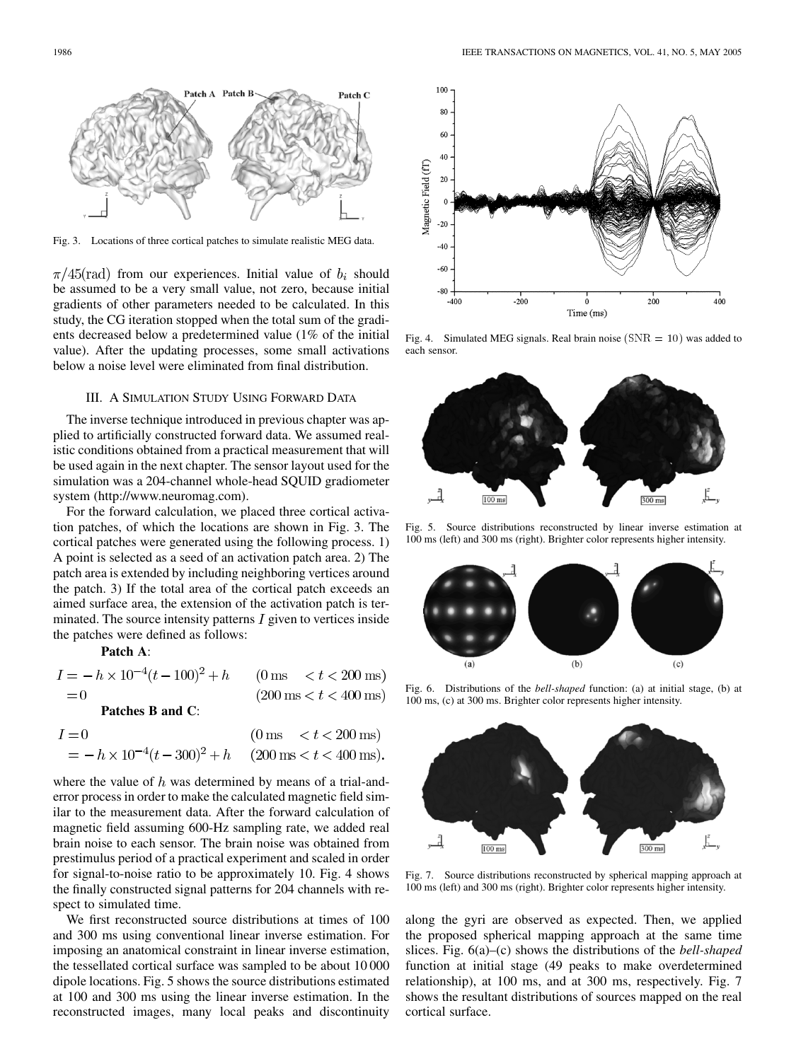

Fig. 3. Locations of three cortical patches to simulate realistic MEG data.

 $\pi/45$ (rad) from our experiences. Initial value of  $b_i$  should be assumed to be a very small value, not zero, because initial gradients of other parameters needed to be calculated. In this study, the CG iteration stopped when the total sum of the gradients decreased below a predetermined value (1% of the initial value). After the updating processes, some small activations below a noise level were eliminated from final distribution.

# III. A SIMULATION STUDY USING FORWARD DATA

The inverse technique introduced in previous chapter was applied to artificially constructed forward data. We assumed realistic conditions obtained from a practical measurement that will be used again in the next chapter. The sensor layout used for the simulation was a 204-channel whole-head SQUID gradiometer system (http://www.neuromag.com).

For the forward calculation, we placed three cortical activation patches, of which the locations are shown in Fig. 3. The cortical patches were generated using the following process. 1) A point is selected as a seed of an activation patch area. 2) The patch area is extended by including neighboring vertices around the patch. 3) If the total area of the cortical patch exceeds an aimed surface area, the extension of the activation patch is terminated. The source intensity patterns  $I$  given to vertices inside the patches were defined as follows:

**Patch A**:

| $I = -h \times 10^{-4} (t - 100)^2 + h$ (0 ms < t < 200 ms) |                                         |
|-------------------------------------------------------------|-----------------------------------------|
| $= 0$                                                       | $(200 \text{ ms} < t < 400 \text{ ms})$ |
| Patches B and C:                                            |                                         |

| $I=0$                                                       | $(0 \text{ ms } < t < 200 \text{ ms})$ |
|-------------------------------------------------------------|----------------------------------------|
| $= -h \times 10^{-4} (t - 300)^2 + h$ (200 ms < t < 400 ms) |                                        |

where the value of  $h$  was determined by means of a trial-anderror process in order to make the calculated magnetic field similar to the measurement data. After the forward calculation of magnetic field assuming 600-Hz sampling rate, we added real brain noise to each sensor. The brain noise was obtained from prestimulus period of a practical experiment and scaled in order for signal-to-noise ratio to be approximately 10. Fig. 4 shows the finally constructed signal patterns for 204 channels with respect to simulated time.

We first reconstructed source distributions at times of 100 and 300 ms using conventional linear inverse estimation. For imposing an anatomical constraint in linear inverse estimation, the tessellated cortical surface was sampled to be about 10 000 dipole locations. Fig. 5 shows the source distributions estimated at 100 and 300 ms using the linear inverse estimation. In the reconstructed images, many local peaks and discontinuity



Fig. 4. Simulated MEG signals. Real brain noise ( $SNR = 10$ ) was added to each sensor.



Fig. 5. Source distributions reconstructed by linear inverse estimation at 100 ms (left) and 300 ms (right). Brighter color represents higher intensity.



Fig. 6. Distributions of the *bell-shaped* function: (a) at initial stage, (b) at 100 ms, (c) at 300 ms. Brighter color represents higher intensity.



Fig. 7. Source distributions reconstructed by spherical mapping approach at 100 ms (left) and 300 ms (right). Brighter color represents higher intensity.

along the gyri are observed as expected. Then, we applied the proposed spherical mapping approach at the same time slices. Fig. 6(a)–(c) shows the distributions of the *bell-shaped* function at initial stage (49 peaks to make overdetermined relationship), at 100 ms, and at 300 ms, respectively. Fig. 7 shows the resultant distributions of sources mapped on the real cortical surface.